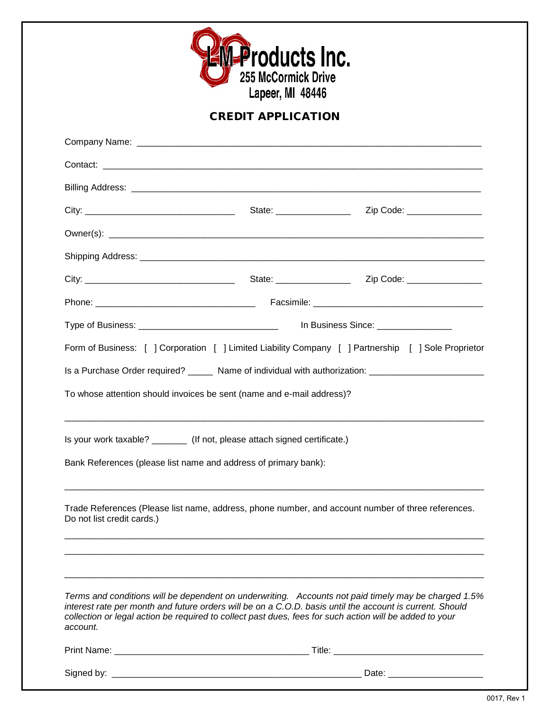

## CREDIT APPLICATION

|                                                                                                                                                                                                                                 |  | Zip Code: ________________                                                                           |  |
|---------------------------------------------------------------------------------------------------------------------------------------------------------------------------------------------------------------------------------|--|------------------------------------------------------------------------------------------------------|--|
|                                                                                                                                                                                                                                 |  |                                                                                                      |  |
|                                                                                                                                                                                                                                 |  |                                                                                                      |  |
|                                                                                                                                                                                                                                 |  |                                                                                                      |  |
|                                                                                                                                                                                                                                 |  |                                                                                                      |  |
|                                                                                                                                                                                                                                 |  |                                                                                                      |  |
|                                                                                                                                                                                                                                 |  | Form of Business: [ ] Corporation [ ] Limited Liability Company [ ] Partnership [ ] Sole Proprietor  |  |
| Is a Purchase Order required? ______ Name of individual with authorization: _______________________                                                                                                                             |  |                                                                                                      |  |
| To whose attention should invoices be sent (name and e-mail address)?                                                                                                                                                           |  |                                                                                                      |  |
| Is your work taxable? ________ (If not, please attach signed certificate.)                                                                                                                                                      |  |                                                                                                      |  |
| Bank References (please list name and address of primary bank):                                                                                                                                                                 |  |                                                                                                      |  |
| Trade References (Please list name, address, phone number, and account number of three references.<br>Do not list credit cards.)                                                                                                |  |                                                                                                      |  |
| interest rate per month and future orders will be on a C.O.D. basis until the account is current. Should<br>collection or legal action be required to collect past dues, fees for such action will be added to your<br>account. |  | Terms and conditions will be dependent on underwriting. Accounts not paid timely may be charged 1.5% |  |
|                                                                                                                                                                                                                                 |  |                                                                                                      |  |
|                                                                                                                                                                                                                                 |  | Date: __________________________                                                                     |  |